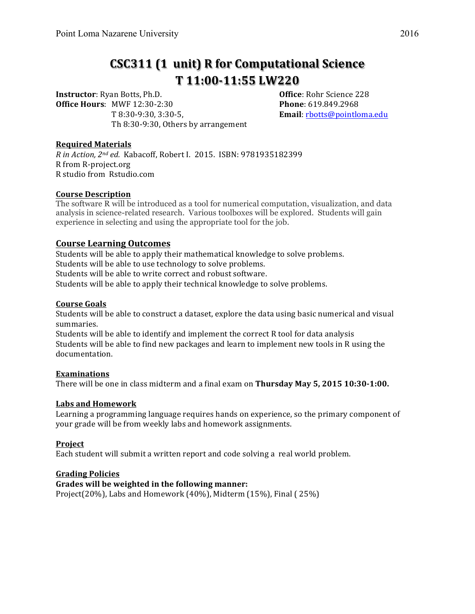# **CSC311 (1 unit) R for Computational Science T 11:00-11:55 LW220**

**Instructor**: Ryan Botts, Ph.D. **Communist Constructor**: Rohr Science 228 **Office Hours:** MWF 12:30-2:30 **Phone**: 619.849.2968 T 8:30-9:30, 3:30-5, **Email**: rbotts@pointloma.edu Th 8:30-9:30, Others by arrangement

# **Required Materials**

*R* in Action, 2<sup>nd</sup> ed. Kabacoff, Robert I. 2015. ISBN: 9781935182399 R from R-project.org R studio from Rstudio.com

### **Course Description**

The software R will be introduced as a tool for numerical computation, visualization, and data analysis in science-related research. Various toolboxes will be explored. Students will gain experience in selecting and using the appropriate tool for the job.

# **Course Learning Outcomes**

Students will be able to apply their mathematical knowledge to solve problems. Students will be able to use technology to solve problems. Students will be able to write correct and robust software. Students will be able to apply their technical knowledge to solve problems.

# **Course Goals**

Students will be able to construct a dataset, explore the data using basic numerical and visual summaries. 

Students will be able to identify and implement the correct  $R$  tool for data analysis Students will be able to find new packages and learn to implement new tools in R using the documentation.

#### **Examinations**

There will be one in class midterm and a final exam on Thursday May 5, 2015 10:30-1:00.

#### Labs and Homework

Learning a programming language requires hands on experience, so the primary component of your grade will be from weekly labs and homework assignments.

# **Project**

Each student will submit a written report and code solving a real world problem.

# **Grading Policies**

# Grades will be weighted in the following manner:

Project(20%), Labs and Homework  $(40\%)$ , Midterm  $(15\%)$ , Final ( $25\%)$ )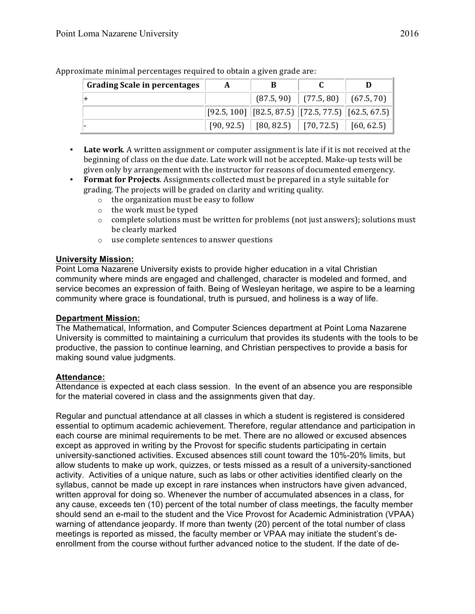| <b>Grading Scale in percentages</b> | A | В                                                                                          |                                        |  |
|-------------------------------------|---|--------------------------------------------------------------------------------------------|----------------------------------------|--|
|                                     |   |                                                                                            | $(87.5, 90)$ $(77.5, 80)$ $(67.5, 70)$ |  |
|                                     |   | $\vert$ [92.5, 100] $\vert$ [82.5, 87.5) $\vert$ [72.5, 77.5) $\vert$ [62.5, 67.5) $\vert$ |                                        |  |
|                                     |   | $[90, 92.5]$ $[80, 82.5]$ $[70, 72.5]$ $[60, 62.5]$                                        |                                        |  |

Approximate minimal percentages required to obtain a given grade are:

- Late work. A written assignment or computer assignment is late if it is not received at the beginning of class on the due date. Late work will not be accepted. Make-up tests will be given only by arrangement with the instructor for reasons of documented emergency.
- **Format for Projects**. Assignments collected must be prepared in a style suitable for grading. The projects will be graded on clarity and writing quality.
	- $\circ$  the organization must be easy to follow
	- $\circ$  the work must be typed
	- $\circ$  complete solutions must be written for problems (not just answers); solutions must be clearly marked
	- $\circ$  use complete sentences to answer questions

# **University Mission:**

Point Loma Nazarene University exists to provide higher education in a vital Christian community where minds are engaged and challenged, character is modeled and formed, and service becomes an expression of faith. Being of Wesleyan heritage, we aspire to be a learning community where grace is foundational, truth is pursued, and holiness is a way of life.

# **Department Mission:**

The Mathematical, Information, and Computer Sciences department at Point Loma Nazarene University is committed to maintaining a curriculum that provides its students with the tools to be productive, the passion to continue learning, and Christian perspectives to provide a basis for making sound value judgments.

# **Attendance:**

Attendance is expected at each class session. In the event of an absence you are responsible for the material covered in class and the assignments given that day.

Regular and punctual attendance at all classes in which a student is registered is considered essential to optimum academic achievement. Therefore, regular attendance and participation in each course are minimal requirements to be met. There are no allowed or excused absences except as approved in writing by the Provost for specific students participating in certain university-sanctioned activities. Excused absences still count toward the 10%-20% limits, but allow students to make up work, quizzes, or tests missed as a result of a university-sanctioned activity. Activities of a unique nature, such as labs or other activities identified clearly on the syllabus, cannot be made up except in rare instances when instructors have given advanced, written approval for doing so. Whenever the number of accumulated absences in a class, for any cause, exceeds ten (10) percent of the total number of class meetings, the faculty member should send an e-mail to the student and the Vice Provost for Academic Administration (VPAA) warning of attendance jeopardy. If more than twenty (20) percent of the total number of class meetings is reported as missed, the faculty member or VPAA may initiate the student's deenrollment from the course without further advanced notice to the student. If the date of de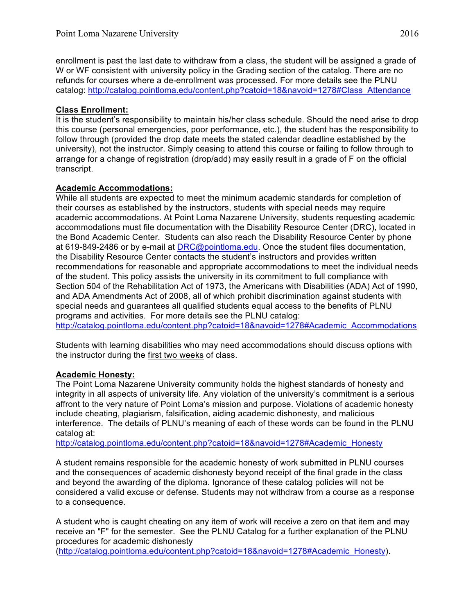enrollment is past the last date to withdraw from a class, the student will be assigned a grade of W or WF consistent with university policy in the Grading section of the catalog. There are no refunds for courses where a de-enrollment was processed. For more details see the PLNU catalog: http://catalog.pointloma.edu/content.php?catoid=18&navoid=1278#Class\_Attendance

# **Class Enrollment:**

It is the student's responsibility to maintain his/her class schedule. Should the need arise to drop this course (personal emergencies, poor performance, etc.), the student has the responsibility to follow through (provided the drop date meets the stated calendar deadline established by the university), not the instructor. Simply ceasing to attend this course or failing to follow through to arrange for a change of registration (drop/add) may easily result in a grade of F on the official transcript.

# **Academic Accommodations:**

While all students are expected to meet the minimum academic standards for completion of their courses as established by the instructors, students with special needs may require academic accommodations. At Point Loma Nazarene University, students requesting academic accommodations must file documentation with the Disability Resource Center (DRC), located in the Bond Academic Center. Students can also reach the Disability Resource Center by phone at 619-849-2486 or by e-mail at DRC@pointloma.edu. Once the student files documentation, the Disability Resource Center contacts the student's instructors and provides written recommendations for reasonable and appropriate accommodations to meet the individual needs of the student. This policy assists the university in its commitment to full compliance with Section 504 of the Rehabilitation Act of 1973, the Americans with Disabilities (ADA) Act of 1990, and ADA Amendments Act of 2008, all of which prohibit discrimination against students with special needs and guarantees all qualified students equal access to the benefits of PLNU programs and activities. For more details see the PLNU catalog: http://catalog.pointloma.edu/content.php?catoid=18&navoid=1278#Academic\_Accommodations

Students with learning disabilities who may need accommodations should discuss options with the instructor during the first two weeks of class.

# **Academic Honesty:**

The Point Loma Nazarene University community holds the highest standards of honesty and integrity in all aspects of university life. Any violation of the university's commitment is a serious affront to the very nature of Point Loma's mission and purpose. Violations of academic honesty include cheating, plagiarism, falsification, aiding academic dishonesty, and malicious interference. The details of PLNU's meaning of each of these words can be found in the PLNU catalog at:

http://catalog.pointloma.edu/content.php?catoid=18&navoid=1278#Academic\_Honesty

A student remains responsible for the academic honesty of work submitted in PLNU courses and the consequences of academic dishonesty beyond receipt of the final grade in the class and beyond the awarding of the diploma. Ignorance of these catalog policies will not be considered a valid excuse or defense. Students may not withdraw from a course as a response to a consequence.

A student who is caught cheating on any item of work will receive a zero on that item and may receive an "F" for the semester. See the PLNU Catalog for a further explanation of the PLNU procedures for academic dishonesty

(http://catalog.pointloma.edu/content.php?catoid=18&navoid=1278#Academic\_Honesty).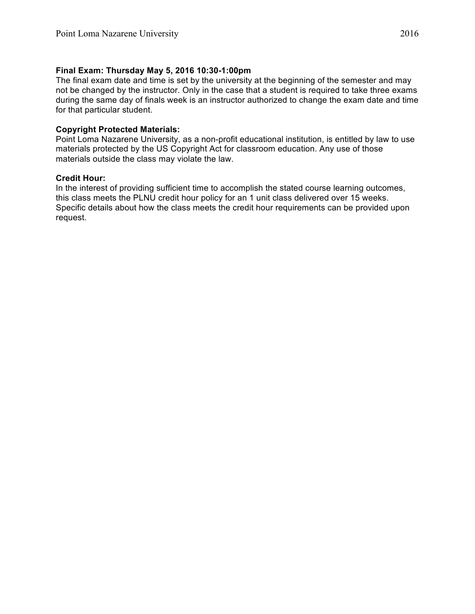# **Final Exam: Thursday May 5, 2016 10:30-1:00pm**

The final exam date and time is set by the university at the beginning of the semester and may not be changed by the instructor. Only in the case that a student is required to take three exams during the same day of finals week is an instructor authorized to change the exam date and time for that particular student.

# **Copyright Protected Materials:**

Point Loma Nazarene University, as a non-profit educational institution, is entitled by law to use materials protected by the US Copyright Act for classroom education. Any use of those materials outside the class may violate the law.

### **Credit Hour:**

In the interest of providing sufficient time to accomplish the stated course learning outcomes, this class meets the PLNU credit hour policy for an 1 unit class delivered over 15 weeks. Specific details about how the class meets the credit hour requirements can be provided upon request.